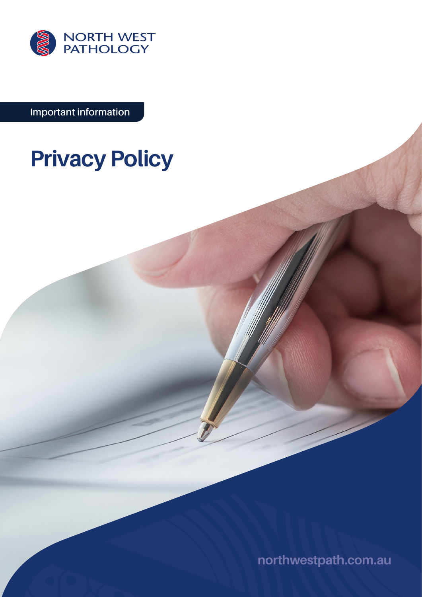

**Important information**

# **Privacy Policy**

**[northwestpath.com.au](http://northwestpath.com.au)**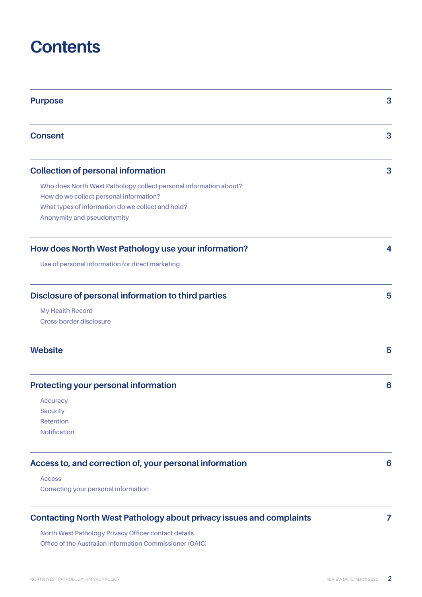# **Contents**

| <b>Purpose</b>                                                             | 3 |
|----------------------------------------------------------------------------|---|
| <b>Consent</b>                                                             | 3 |
| <b>Collection of personal information</b>                                  | 3 |
| Who does North West Pathology collect personal information about?          |   |
| How do we collect personal information?                                    |   |
| What types of information do we collect and hold?                          |   |
| Anonymity and pseudonymity                                                 |   |
| How does North West Pathology use your information?                        | 4 |
| Use of personal information for direct marketing                           |   |
| Disclosure of personal information to third parties                        | 5 |
| <b>My Health Record</b>                                                    |   |
| Cross-border disclosure                                                    |   |
| <b>Website</b>                                                             | 5 |
| <b>Protecting your personal information</b>                                | 6 |
| <b>Accuracy</b>                                                            |   |
| <b>Security</b>                                                            |   |
| Retention                                                                  |   |
| <b>Notification</b>                                                        |   |
| Access to, and correction of, your personal information                    | 6 |
| <b>Access</b>                                                              |   |
| Correcting your personal information                                       |   |
| <b>Contacting North West Pathology about privacy issues and complaints</b> | 7 |

**[North West Pathology Privacy Officer contact details](#page-6-0) [Office of the Australian Information Commissioner \(OAIC\)](#page-6-0)**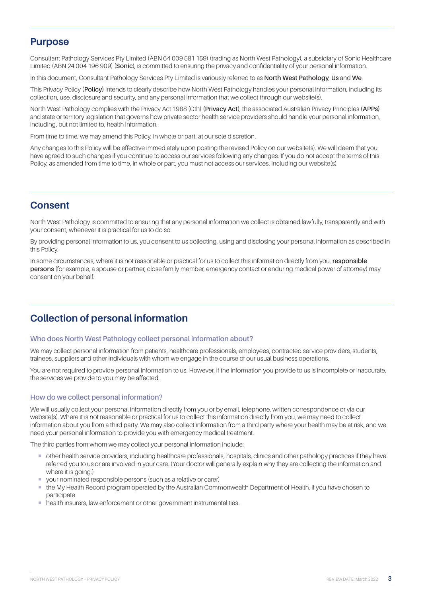# <span id="page-2-0"></span>**Purpose**

Consultant Pathology Services Pty Limited (ABN 64 009 581 159) (trading as North West Pathology), a subsidiary of Sonic Healthcare Limited (ABN 24 004 196 909) (**Sonic**), is committed to ensuring the privacy and confidentiality of your personal information.

In this document, Consultant Pathology Services Pty Limited is variously referred to as **North West Pathology**, **Us** and **We**.

This Privacy Policy **(Policy)** intends to clearly describe how North West Pathology handles your personal information, including its collection, use, disclosure and security, and any personal information that we collect through our website(s).

North West Pathology complies with the Privacy Act 1988 (Cth) **(Privacy Act)**, the associated Australian Privacy Principles **(APPs)** and state or territory legislation that governs how private sector health service providers should handle your personal information, including, but not limited to, health information.

From time to time, we may amend this Policy, in whole or part, at our sole discretion.

Any changes to this Policy will be effective immediately upon posting the revised Policy on our website(s). We will deem that you have agreed to such changes if you continue to access our services following any changes. If you do not accept the terms of this Policy, as amended from time to time, in whole or part, you must not access our services, including our website(s).

# **Consent**

North West Pathology is committed to ensuring that any personal information we collect is obtained lawfully, transparently and with your consent, whenever it is practical for us to do so.

By providing personal information to us, you consent to us collecting, using and disclosing your personal information as described in this Policy.

In some circumstances, where it is not reasonable or practical for us to collect this information directly from you, **responsible persons** (for example, a spouse or partner, close family member, emergency contact or enduring medical power of attorney) may consent on your behalf.

# **Collection of personal information**

#### **Who does North West Pathology collect personal information about?**

We may collect personal information from patients, healthcare professionals, employees, contracted service providers, students, trainees, suppliers and other individuals with whom we engage in the course of our usual business operations.

You are not required to provide personal information to us. However, if the information you provide to us is incomplete or inaccurate, the services we provide to you may be affected.

### **How do we collect personal information?**

We will usually collect your personal information directly from you or by email, telephone, written correspondence or via our website(s). Where it is not reasonable or practical for us to collect this information directly from you, we may need to collect information about you from a third party. We may also collect information from a third party where your health may be at risk, and we need your personal information to provide you with emergency medical treatment.

The third parties from whom we may collect your personal information include:

- ¡ other health service providers, including healthcare professionals, hospitals, clinics and other pathology practices if they have referred you to us or are involved in your care. (Your doctor will generally explain why they are collecting the information and where it is going.)
- vour nominated responsible persons (such as a relative or carer)
- ¡ the My Health Record program operated by the Australian Commonwealth Department of Health, if you have chosen to participate
- health insurers, law enforcement or other government instrumentalities.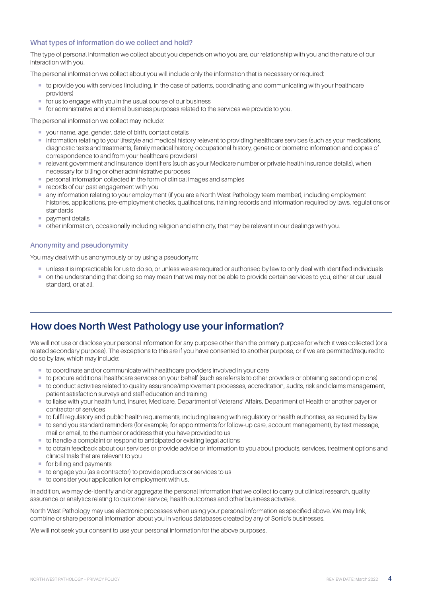# <span id="page-3-0"></span>**What types of information do we collect and hold?**

The type of personal information we collect about you depends on who you are, our relationship with you and the nature of our interaction with you.

The personal information we collect about you will include only the information that is necessary or required:

- ¡ to provide you with services (including, in the case of patients, coordinating and communicating with your healthcare providers)
- for us to engage with you in the usual course of our business
- ¡ for administrative and internal business purposes related to the services we provide to you.

The personal information we collect may include:

- ¡ your name, age, gender, date of birth, contact details
- ¡ information relating to your lifestyle and medical history relevant to providing healthcare services (such as your medications, diagnostic tests and treatments, family medical history, occupational history, genetic or biometric information and copies of correspondence to and from your healthcare providers)
- ¡ relevant government and insurance identifiers (such as your Medicare number or private health insurance details), when necessary for billing or other administrative purposes
- personal information collected in the form of clinical images and samples
- **records of our past engagement with you**
- ¡ any information relating to your employment (if you are a North West Pathology team member), including employment histories, applications, pre-employment checks, qualifications, training records and information required by laws, regulations or standards
- **•** payment details
- ¡ other information, occasionally including religion and ethnicity, that may be relevant in our dealings with you.

# **Anonymity and pseudonymity**

You may deal with us anonymously or by using a pseudonym:

- ¡ unless it is impracticable for us to do so, or unless we are required or authorised by law to only deal with identified individuals
- $\blacksquare$  on the understanding that doing so may mean that we may not be able to provide certain services to you, either at our usual standard, or at all.

# **How does North West Pathology use your information?**

We will not use or disclose your personal information for any purpose other than the primary purpose for which it was collected (or a related secondary purpose). The exceptions to this are if you have consented to another purpose, or if we are permitted/required to do so by law, which may include:

- to coordinate and/or communicate with healthcare providers involved in your care
- ¡ to procure additional healthcare services on your behalf (such as referrals to other providers or obtaining second opinions)
- ¡ to conduct activities related to quality assurance/improvement processes, accreditation, audits, risk and claims management, patient satisfaction surveys and staff education and training
- ¡ to liaise with your health fund, insurer, Medicare, Department of Veterans' Affairs, Department of Health or another payer or contractor of services
- ¡ to fulfil regulatory and public health requirements, including liaising with regulatory or health authorities, as required by law
- ¡ to send you standard reminders (for example, for appointments for follow-up care, account management), by text message, mail or email, to the number or address that you have provided to us
- to handle a complaint or respond to anticipated or existing legal actions
- ¡ to obtain feedback about our services or provide advice or information to you about products, services, treatment options and clinical trials that are relevant to you
- for billing and payments
- to engage you (as a contractor) to provide products or services to us
- to consider your application for employment with us.

In addition, we may de-identify and/or aggregate the personal information that we collect to carry out clinical research, quality assurance or analytics relating to customer service, health outcomes and other business activities.

North West Pathology may use electronic processes when using your personal information as specified above. We may link, combine or share personal information about you in various databases created by any of Sonic's businesses.

We will not seek your consent to use your personal information for the above purposes.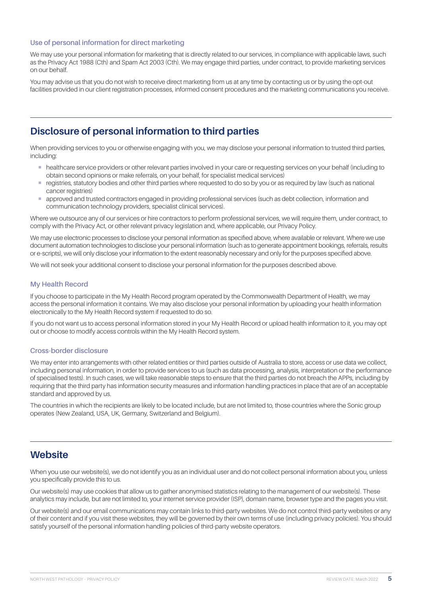# <span id="page-4-0"></span>**Use of personal information for direct marketing**

We may use your personal information for marketing that is directly related to our services, in compliance with applicable laws, such as the Privacy Act 1988 (Cth) and Spam Act 2003 (Cth). We may engage third parties, under contract, to provide marketing services on our behalf.

You may advise us that you do not wish to receive direct marketing from us at any time by contacting us or by using the opt-out facilities provided in our client registration processes, informed consent procedures and the marketing communications you receive.

# **Disclosure of personal information to third parties**

When providing services to you or otherwise engaging with you, we may disclose your personal information to trusted third parties, including:

- $\blacksquare$  healthcare service providers or other relevant parties involved in your care or requesting services on your behalf (including to obtain second opinions or make referrals, on your behalf, for specialist medical services)
- registries, statutory bodies and other third parties where requested to do so by you or as required by law (such as national cancer registries)
- ¡ approved and trusted contractors engaged in providing professional services (such as debt collection, information and communication technology providers, specialist clinical services).

Where we outsource any of our services or hire contractors to perform professional services, we will require them, under contract, to comply with the Privacy Act, or other relevant privacy legislation and, where applicable, our Privacy Policy.

We may use electronic processes to disclose your personal information as specified above, where available or relevant. Where we use document automation technologies to disclose your personal information (such as to generate appointment bookings, referrals, results or e-scripts), we will only disclose your information to the extent reasonably necessary and only for the purposes specified above.

We will not seek your additional consent to disclose your personal information for the purposes described above.

### **My Health Record**

If you choose to participate in the My Health Record program operated by the Commonwealth Department of Health, we may access the personal information it contains. We may also disclose your personal information by uploading your health information electronically to the My Health Record system if requested to do so.

If you do not want us to access personal information stored in your My Health Record or upload health information to it, you may opt out or choose to modify access controls within the My Health Record system.

#### **Cross-border disclosure**

We may enter into arrangements with other related entities or third parties outside of Australia to store, access or use data we collect including personal information, in order to provide services to us (such as data processing, analysis, interpretation or the performance of specialised tests). In such cases, we will take reasonable steps to ensure that the third parties do not breach the APPs, including by requiring that the third party has information security measures and information handling practices in place that are of an acceptable standard and approved by us.

The countries in which the recipients are likely to be located include, but are not limited to, those countries where the Sonic group operates (New Zealand, USA, UK, Germany, Switzerland and Belgium).

# **Website**

When you use our website(s), we do not identify you as an individual user and do not collect personal information about you, unless you specifically provide this to us.

Our website(s) may use cookies that allow us to gather anonymised statistics relating to the management of our website(s). These analytics may include, but are not limited to, your internet service provider (ISP), domain name, browser type and the pages you visit.

Our website(s) and our email communications may contain links to third-party websites. We do not control third-party websites or any of their content and if you visit these websites, they will be governed by their own terms of use (including privacy policies). You should satisfy yourself of the personal information handling policies of third-party website operators.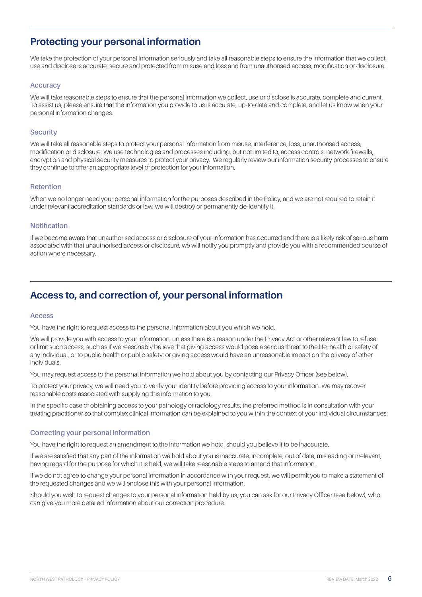# <span id="page-5-0"></span>**Protecting your personal information**

We take the protection of your personal information seriously and take all reasonable steps to ensure the information that we collect, use and disclose is accurate, secure and protected from misuse and loss and from unauthorised access, modification or disclosure.

### **Accuracy**

We will take reasonable steps to ensure that the personal information we collect, use or disclose is accurate, complete and current. To assist us, please ensure that the information you provide to us is accurate, up-to-date and complete, and let us know when your personal information changes.

#### **Security**

We will take all reasonable steps to protect your personal information from misuse, interference, loss, unauthorised access, modification or disclosure. We use technologies and processes including, but not limited to, access controls, network firewalls, encryption and physical security measures to protect your privacy. We regularly review our information security processes to ensure they continue to offer an appropriate level of protection for your information.

### **Retention**

When we no longer need your personal information for the purposes described in the Policy, and we are not required to retain it under relevant accreditation standards or law, we will destroy or permanently de-identify it.

#### **Notification**

If we become aware that unauthorised access or disclosure of your information has occurred and there is a likely risk of serious harm associated with that unauthorised access or disclosure, we will notify you promptly and provide you with a recommended course of action where necessary.

# **Access to, and correction of, your personal information**

#### **Access**

You have the right to request access to the personal information about you which we hold.

We will provide you with access to your information, unless there is a reason under the Privacy Act or other relevant law to refuse or limit such access, such as if we reasonably believe that giving access would pose a serious threat to the life, health or safety of any individual, or to public health or public safety; or giving access would have an unreasonable impact on the privacy of other individuals.

You may request access to the personal information we hold about you by contacting our Privacy Officer (see below).

To protect your privacy, we will need you to verify your identity before providing access to your information. We may recover reasonable costs associated with supplying this information to you.

In the specific case of obtaining access to your pathology or radiology results, the preferred method is in consultation with your treating practitioner so that complex clinical information can be explained to you within the context of your individual circumstances.

### **Correcting your personal information**

You have the right to request an amendment to the information we hold, should you believe it to be inaccurate.

If we are satisfied that any part of the information we hold about you is inaccurate, incomplete, out of date, misleading or irrelevant, having regard for the purpose for which it is held, we will take reasonable steps to amend that information.

If we do not agree to change your personal information in accordance with your request, we will permit you to make a statement of the requested changes and we will enclose this with your personal information.

Should you wish to request changes to your personal information held by us, you can ask for our Privacy Officer (see below), who can give you more detailed information about our correction procedure.